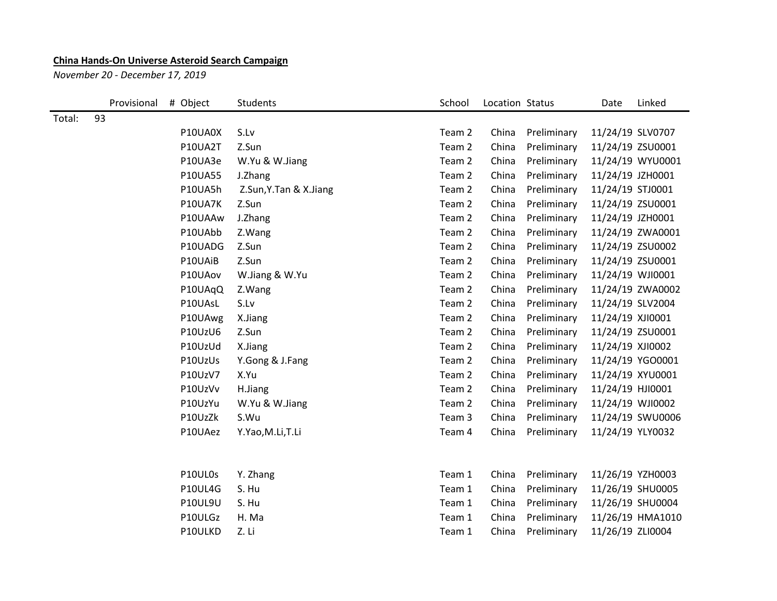## **China Hands-On Universe Asteroid Search Campaign**

*November 20 - December 17, 2019*

|        | Provisional | # Object       | Students               | School | Location Status |             | Date             | Linked           |
|--------|-------------|----------------|------------------------|--------|-----------------|-------------|------------------|------------------|
| Total: | 93          |                |                        |        |                 |             |                  |                  |
|        |             | P10UA0X        | S.Lv                   | Team 2 | China           | Preliminary | 11/24/19 SLV0707 |                  |
|        |             | P10UA2T        | Z.Sun                  | Team 2 | China           | Preliminary |                  | 11/24/19 ZSU0001 |
|        |             | P10UA3e        | W.Yu & W.Jiang         | Team 2 | China           | Preliminary |                  | 11/24/19 WYU0001 |
|        |             | P10UA55        | J.Zhang                | Team 2 | China           | Preliminary | 11/24/19 JZH0001 |                  |
|        |             | P10UA5h        | Z.Sun, Y.Tan & X.Jiang | Team 2 | China           | Preliminary | 11/24/19 STJ0001 |                  |
|        |             | P10UA7K        | Z.Sun                  | Team 2 | China           | Preliminary |                  | 11/24/19 ZSU0001 |
|        |             | P10UAAw        | J.Zhang                | Team 2 | China           | Preliminary | 11/24/19 JZH0001 |                  |
|        |             | P10UAbb        | Z.Wang                 | Team 2 | China           | Preliminary |                  | 11/24/19 ZWA0001 |
|        |             | P10UADG        | Z.Sun                  | Team 2 | China           | Preliminary |                  | 11/24/19 ZSU0002 |
|        |             | P10UAiB        | Z.Sun                  | Team 2 | China           | Preliminary |                  | 11/24/19 ZSU0001 |
|        |             | P10UAov        | W.Jiang & W.Yu         | Team 2 | China           | Preliminary |                  | 11/24/19 WJI0001 |
|        |             | P10UAqQ        | Z.Wang                 | Team 2 | China           | Preliminary |                  | 11/24/19 ZWA0002 |
|        |             | P10UAsL        | S.Lv                   | Team 2 | China           | Preliminary |                  | 11/24/19 SLV2004 |
|        |             | P10UAwg        | X.Jiang                | Team 2 | China           | Preliminary | 11/24/19 XJI0001 |                  |
|        |             | P10UzU6        | Z.Sun                  | Team 2 | China           | Preliminary |                  | 11/24/19 ZSU0001 |
|        |             | P10UzUd        | X.Jiang                | Team 2 | China           | Preliminary | 11/24/19 XJI0002 |                  |
|        |             | P10UzUs        | Y.Gong & J.Fang        | Team 2 | China           | Preliminary |                  | 11/24/19 YGO0001 |
|        |             | P10UzV7        | X.Yu                   | Team 2 | China           | Preliminary |                  | 11/24/19 XYU0001 |
|        |             | P10UzVv        | H.Jiang                | Team 2 | China           | Preliminary | 11/24/19 HJI0001 |                  |
|        |             | P10UzYu        | W.Yu & W.Jiang         | Team 2 | China           | Preliminary |                  | 11/24/19 WJI0002 |
|        |             | P10UzZk        | S.Wu                   | Team 3 | China           | Preliminary |                  | 11/24/19 SWU0006 |
|        |             | P10UAez        | Y.Yao,M.Li,T.Li        | Team 4 | China           | Preliminary | 11/24/19 YLY0032 |                  |
|        |             |                |                        |        |                 |             |                  |                  |
|        |             |                |                        |        |                 |             |                  |                  |
|        |             | P10UL0s        | Y. Zhang               | Team 1 | China           | Preliminary |                  | 11/26/19 YZH0003 |
|        |             | P10UL4G        | S. Hu                  | Team 1 | China           | Preliminary |                  | 11/26/19 SHU0005 |
|        |             | <b>P10UL9U</b> | S. Hu                  | Team 1 | China           | Preliminary |                  | 11/26/19 SHU0004 |
|        |             | P10ULGz        | H. Ma                  | Team 1 | China           | Preliminary |                  | 11/26/19 HMA1010 |
|        |             | P10ULKD        | Z. Li                  | Team 1 | China           | Preliminary | 11/26/19 ZLI0004 |                  |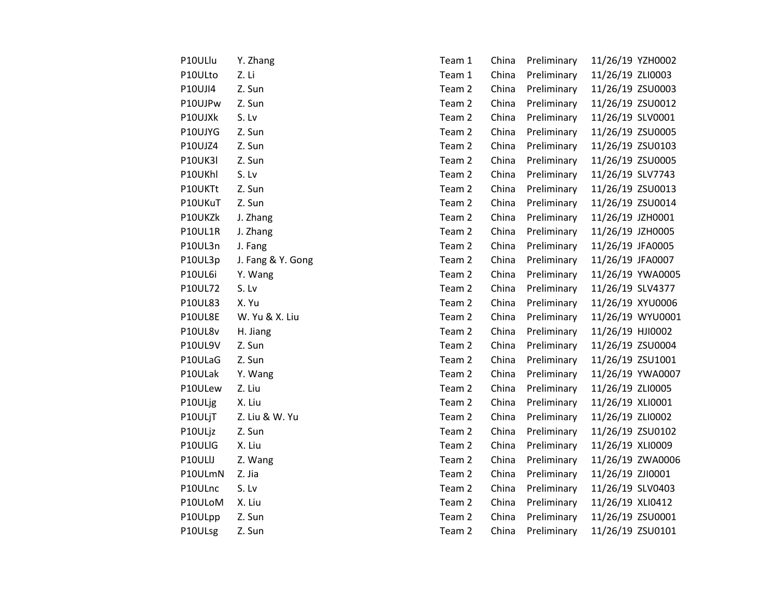| P10ULlu        | Y. Zhang          | Team 1 | China | Preliminary | 11/26/19 YZH0002 |                  |
|----------------|-------------------|--------|-------|-------------|------------------|------------------|
| P10ULto        | Z. Li             | Team 1 | China | Preliminary | 11/26/19 ZLI0003 |                  |
| P10UJI4        | Z. Sun            | Team 2 | China | Preliminary | 11/26/19 ZSU0003 |                  |
| P10UJPw        | Z. Sun            | Team 2 | China | Preliminary | 11/26/19 ZSU0012 |                  |
| P10UJXk        | S.Lv              | Team 2 | China | Preliminary | 11/26/19 SLV0001 |                  |
| P10UJYG        | Z. Sun            | Team 2 | China | Preliminary | 11/26/19 ZSU0005 |                  |
| P10UJZ4        | Z. Sun            | Team 2 | China | Preliminary | 11/26/19 ZSU0103 |                  |
| <b>P10UK3I</b> | Z. Sun            | Team 2 | China | Preliminary | 11/26/19 ZSU0005 |                  |
| P10UKhl        | S.Lv              | Team 2 | China | Preliminary | 11/26/19 SLV7743 |                  |
| P10UKTt        | Z. Sun            | Team 2 | China | Preliminary | 11/26/19 ZSU0013 |                  |
| P10UKuT        | Z. Sun            | Team 2 | China | Preliminary | 11/26/19 ZSU0014 |                  |
| P10UKZk        | J. Zhang          | Team 2 | China | Preliminary | 11/26/19 JZH0001 |                  |
| P10UL1R        | J. Zhang          | Team 2 | China | Preliminary | 11/26/19 JZH0005 |                  |
| P10UL3n        | J. Fang           | Team 2 | China | Preliminary | 11/26/19 JFA0005 |                  |
| P10UL3p        | J. Fang & Y. Gong | Team 2 | China | Preliminary | 11/26/19 JFA0007 |                  |
| P10UL6i        | Y. Wang           | Team 2 | China | Preliminary |                  | 11/26/19 YWA0005 |
| P10UL72        | S.Lv              | Team 2 | China | Preliminary | 11/26/19 SLV4377 |                  |
| <b>P10UL83</b> | X. Yu             | Team 2 | China | Preliminary | 11/26/19 XYU0006 |                  |
| P10UL8E        | W. Yu & X. Liu    | Team 2 | China | Preliminary |                  | 11/26/19 WYU0001 |
| P10UL8v        | H. Jiang          | Team 2 | China | Preliminary | 11/26/19 HJI0002 |                  |
| P10UL9V        | Z. Sun            | Team 2 | China | Preliminary | 11/26/19 ZSU0004 |                  |
| P10ULaG        | Z. Sun            | Team 2 | China | Preliminary | 11/26/19 ZSU1001 |                  |
| P10ULak        | Y. Wang           | Team 2 | China | Preliminary |                  | 11/26/19 YWA0007 |
| P10ULew        | Z. Liu            | Team 2 | China | Preliminary | 11/26/19 ZLI0005 |                  |
| P10ULjg        | X. Liu            | Team 2 | China | Preliminary | 11/26/19 XLI0001 |                  |
| P10ULjT        | Z. Liu & W. Yu    | Team 2 | China | Preliminary | 11/26/19 ZLI0002 |                  |
| P10ULjz        | Z. Sun            | Team 2 | China | Preliminary | 11/26/19 ZSU0102 |                  |
| P10ULIG        | X. Liu            | Team 2 | China | Preliminary | 11/26/19 XLI0009 |                  |
| P10ULIJ        | Z. Wang           | Team 2 | China | Preliminary |                  | 11/26/19 ZWA0006 |
| P10ULmN        | Z. Jia            | Team 2 | China | Preliminary | 11/26/19 ZJI0001 |                  |
| P10ULnc        | S.Lv              | Team 2 | China | Preliminary | 11/26/19 SLV0403 |                  |
| P10ULoM        | X. Liu            | Team 2 | China | Preliminary | 11/26/19 XLI0412 |                  |
| P10ULpp        | Z. Sun            | Team 2 | China | Preliminary | 11/26/19 ZSU0001 |                  |
| P10ULsg        | Z. Sun            | Team 2 | China | Preliminary | 11/26/19 ZSU0101 |                  |
|                |                   |        |       |             |                  |                  |